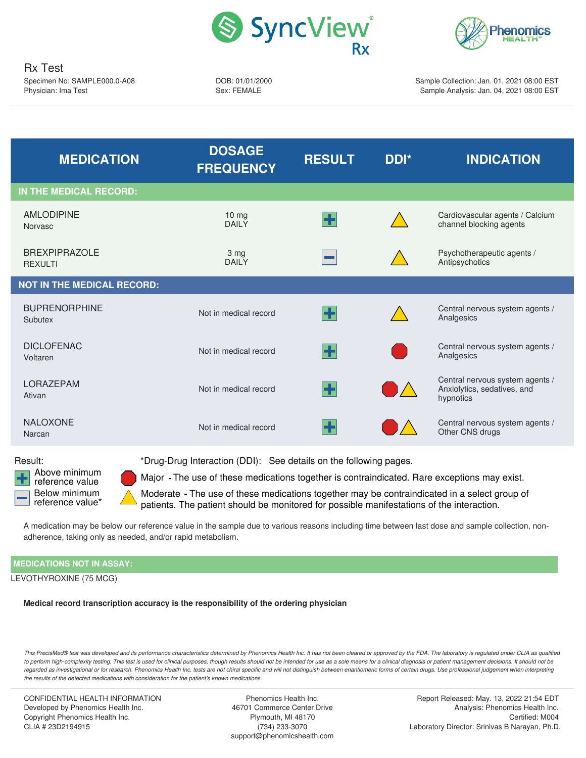



Rx Test Specimen No: SAMPLE000.0-A08 Physician: Ima Test

DOB: 01/01/2000 Sex: FEMALE

Sample Collection: Jan. 01, 2021 08:00 EST Sample Analysis: Jan. 04, 2021 08:00 EST

<span id="page-0-0"></span>

| <b>MEDICATION</b>                      | <b>DOSAGE</b><br><b>FREQUENCY</b> | <b>RESULT</b> | DDI*          | <b>INDICATION</b>                                                           |
|----------------------------------------|-----------------------------------|---------------|---------------|-----------------------------------------------------------------------------|
| IN THE MEDICAL RECORD:                 |                                   |               |               |                                                                             |
| <b>AMLODIPINE</b><br><b>Norvasc</b>    | $10 \, mg$<br><b>DAILY</b>        | H             |               | Cardiovascular agents / Calcium<br>channel blocking agents                  |
| <b>BREXPIPRAZOLE</b><br><b>REXULTI</b> | 3 mg<br><b>DAILY</b>              |               |               | Psychotherapeutic agents /<br>Antipsychotics                                |
| <b>NOT IN THE MEDICAL RECORD:</b>      |                                   |               |               |                                                                             |
| <b>BUPRENORPHINE</b><br>Subutex        | Not in medical record             | ╊             |               | Central nervous system agents /<br>Analgesics                               |
| <b>DICLOFENAC</b><br>Voltaren          | Not in medical record             | 4             |               | Central nervous system agents /<br>Analgesics                               |
| <b>LORAZEPAM</b><br>Ativan             | Not in medical record             | ╊             |               | Central nervous system agents /<br>Anxiolytics, sedatives, and<br>hypnotics |
| NALOXONE<br>Narcan                     | Not in medical record             | ╊             | $\mathcal{L}$ | Central nervous system agents /<br>Other CNS drugs                          |
|                                        |                                   |               |               |                                                                             |

<span id="page-0-2"></span>Above minimum reference value Below minimum reference value\*

<span id="page-0-1"></span>Result: \*Drug-Drug Interaction (DDI): See details on the following pages.

Major - The use of these medications together is contraindicated. Rare exceptions may exist.

Moderate - The use of these medications together may be contraindicated in a select group of patients. The patient should be monitored for possible manifestations of the interaction.

A medication may be below our reference value in the sample due to various reasons including time between last dose and sample collection, nonadherence, taking only as needed, and/or rapid metabolism.

## **MEDICATIONS NOT IN ASSAY:**

LEVOTHYROXINE (75 MCG)

**Medical record transcription accuracy is the responsibility of the ordering physician**

This PrecisMed® test was developed and its performance characteristics determined by Phenomics Health Inc. It has not been cleared or approved by the FDA. The laboratory is regulated under CLIA as qualified to perform high-complexity testing. This test is used for clinical purposes, though results should not be intended for use as a sole means for a clinical diagnosis or patient management decisions. It should not be regarded as investigational or for research. Phenomics Health Inc. tests are not chiral specific and will not distinguish between enantiomeric forms of certain drugs. Use professional judgement when interpreting *the results of the detected medications with consideration for the patient's known medications.*

CONFIDENTIAL HEALTH INFORMATION Developed by Phenomics Health Inc. Copyright Phenomics Health Inc. CLIA # 23D2194915

Phenomics Health Inc. 46701 Commerce Center Drive Plymouth, MI 48170 (734) 233-3070 support@phenomicshealth.com

Report Released: May. 13, 2022 21:54 EDT Analysis: Phenomics Health Inc. Certified: M004 Laboratory Director: Srinivas B Narayan, Ph.D.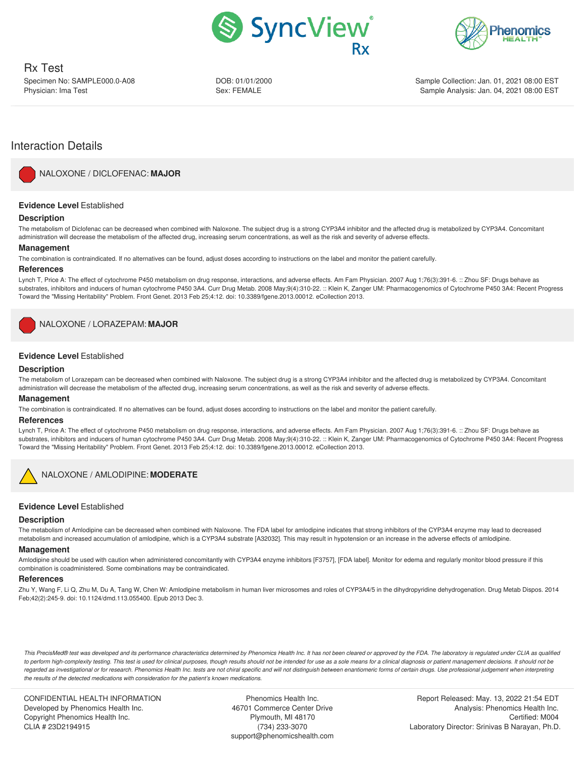



Rx Test Specimen No: SAMPLE000.0-A08 Physician: Ima Test

DOB: 01/01/2000 Sex: FEMALE

Sample Collection: Jan. 01, 2021 08:00 EST Sample Analysis: Jan. 04, 2021 08:00 EST

# Interaction Details

<span id="page-1-0"></span>

NALOXONE / [DICLOFENAC:](#page-0-0) **MAJOR**

## **Evidence Level** Established

#### **Description**

The metabolism of Diclofenac can be decreased when combined with Naloxone. The subject drug is a strong CYP3A4 inhibitor and the affected drug is metabolized by CYP3A4. Concomitant administration will decrease the metabolism of the affected drug, increasing serum concentrations, as well as the risk and severity of adverse effects.

#### **Management**

The combination is contraindicated. If no alternatives can be found, adjust doses according to instructions on the label and monitor the patient carefully.

#### **References**

Lynch T, Price A: The effect of cytochrome P450 metabolism on drug response, interactions, and adverse effects. Am Fam Physician. 2007 Aug 1;76(3):391-6. :: Zhou SF: Drugs behave as substrates, inhibitors and inducers of human cytochrome P450 3A4. Curr Drug Metab. 2008 May;9(4):310-22. :: Klein K, Zanger UM: Pharmacogenomics of Cytochrome P450 3A4: Recent Progress Toward the "Missing Heritability" Problem. Front Genet. 2013 Feb 25;4:12. doi: 10.3389/fgene.2013.00012. eCollection 2013.

<span id="page-1-1"></span>NALOXONE / [LORAZEPAM:](#page-0-1) **MAJOR**

## **Evidence Level** Established

## **Description**

The metabolism of Lorazepam can be decreased when combined with Naloxone. The subject drug is a strong CYP3A4 inhibitor and the affected drug is metabolized by CYP3A4. Concomitant administration will decrease the metabolism of the affected drug, increasing serum concentrations, as well as the risk and severity of adverse effects.

### **Management**

The combination is contraindicated. If no alternatives can be found, adjust doses according to instructions on the label and monitor the patient carefully.

### **References**

Lynch T, Price A: The effect of cytochrome P450 metabolism on drug response, interactions, and adverse effects. Am Fam Physician. 2007 Aug 1;76(3):391-6. :: Zhou SF: Drugs behave as substrates, inhibitors and inducers of human cytochrome P450 3A4. Curr Drug Metab. 2008 May;9(4):310-22. :: Klein K, Zanger UM: Pharmacogenomics of Cytochrome P450 3A4: Recent Progress Toward the "Missing Heritability" Problem. Front Genet. 2013 Feb 25;4:12. doi: 10.3389/fgene.2013.00012. eCollection 2013.

<span id="page-1-2"></span>

NALOXONE / [AMLODIPINE:](#page-0-2) **MODERATE**

## **Evidence Level** Established

#### **Description**

The metabolism of Amlodipine can be decreased when combined with Naloxone. The FDA label for amlodipine indicates that strong inhibitors of the CYP3A4 enzyme may lead to decreased metabolism and increased accumulation of amlodipine, which is a CYP3A4 substrate [A32032]. This may result in hypotension or an increase in the adverse effects of amlodipine.

#### **Management**

Amlodipine should be used with caution when administered concomitantly with CYP3A4 enzyme inhibitors [F3757], [FDA label]. Monitor for edema and regularly monitor blood pressure if this combination is coadministered. Some combinations may be contraindicated.

#### **References**

Zhu Y, Wang F, Li Q, Zhu M, Du A, Tang W, Chen W: Amlodipine metabolism in human liver microsomes and roles of CYP3A4/5 in the dihydropyridine dehydrogenation. Drug Metab Dispos. 2014 Feb;42(2):245-9. doi: 10.1124/dmd.113.055400. Epub 2013 Dec 3.

This PrecisMed® test was developed and its performance characteristics determined by Phenomics Health Inc. It has not been cleared or approved by the FDA. The laboratory is regulated under CLIA as qualified to perform high-complexity testing. This test is used for clinical purposes, though results should not be intended for use as a sole means for a clinical diagnosis or patient management decisions. It should not be regarded as investigational or for research. Phenomics Health Inc. tests are not chiral specific and will not distinguish between enantiomeric forms of certain drugs. Use professional judgement when interpreting *the results of the detected medications with consideration for the patient's known medications.*

CONFIDENTIAL HEALTH INFORMATION Developed by Phenomics Health Inc. Copyright Phenomics Health Inc. CLIA # 23D2194915

Phenomics Health Inc. 46701 Commerce Center Drive Plymouth, MI 48170 (734) 233-3070 support@phenomicshealth.com

Report Released: May. 13, 2022 21:54 EDT Analysis: Phenomics Health Inc. Certified: M004 Laboratory Director: Srinivas B Narayan, Ph.D.